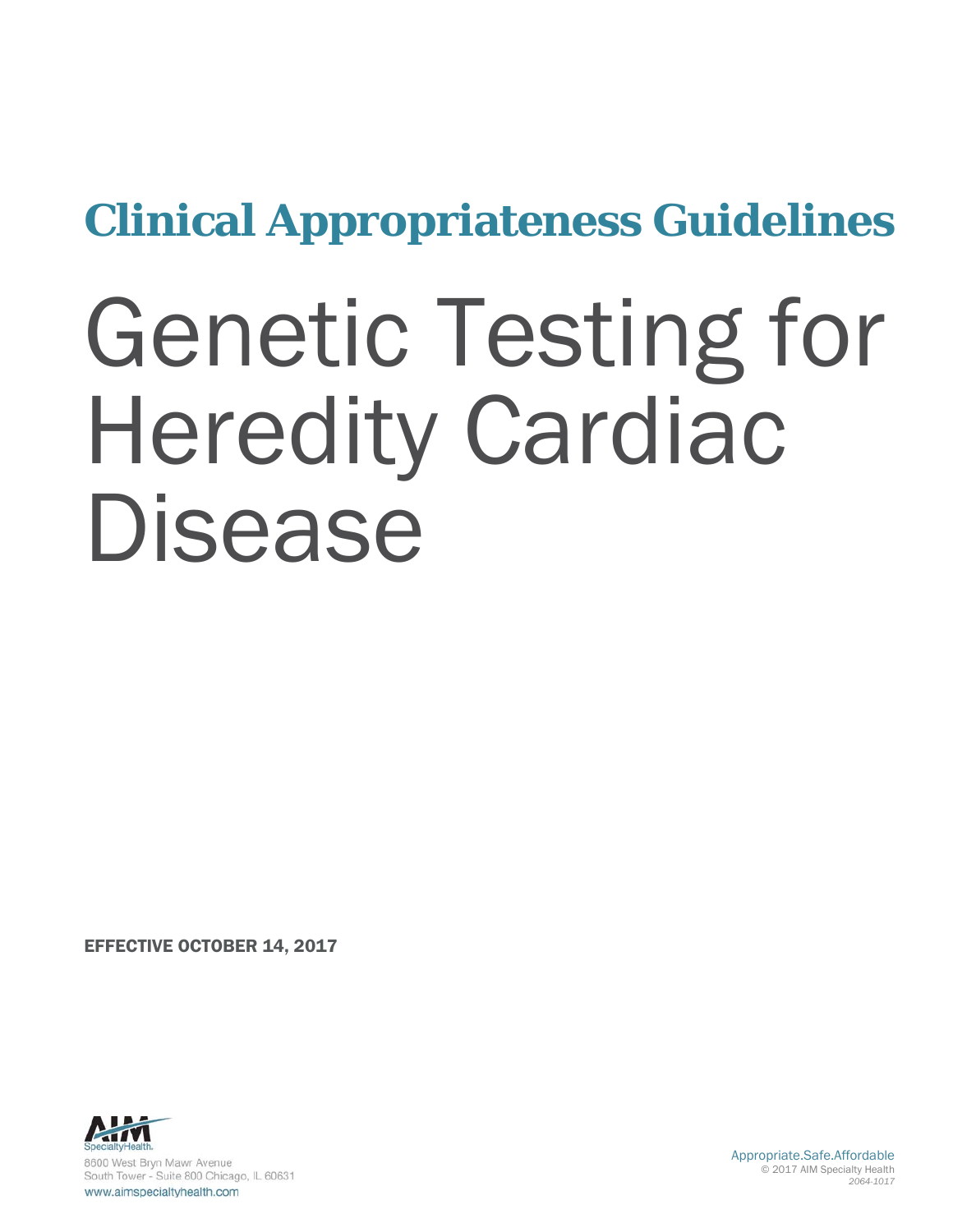# **Clinical Appropriateness Guidelines**

# Genetic Testing for Heredity Cardiac Disease

EFFECTIVE OCTOBER 14, 2017



Appropriate.Safe.Affordable © 2017 AIM Specialty Health *2064-1017*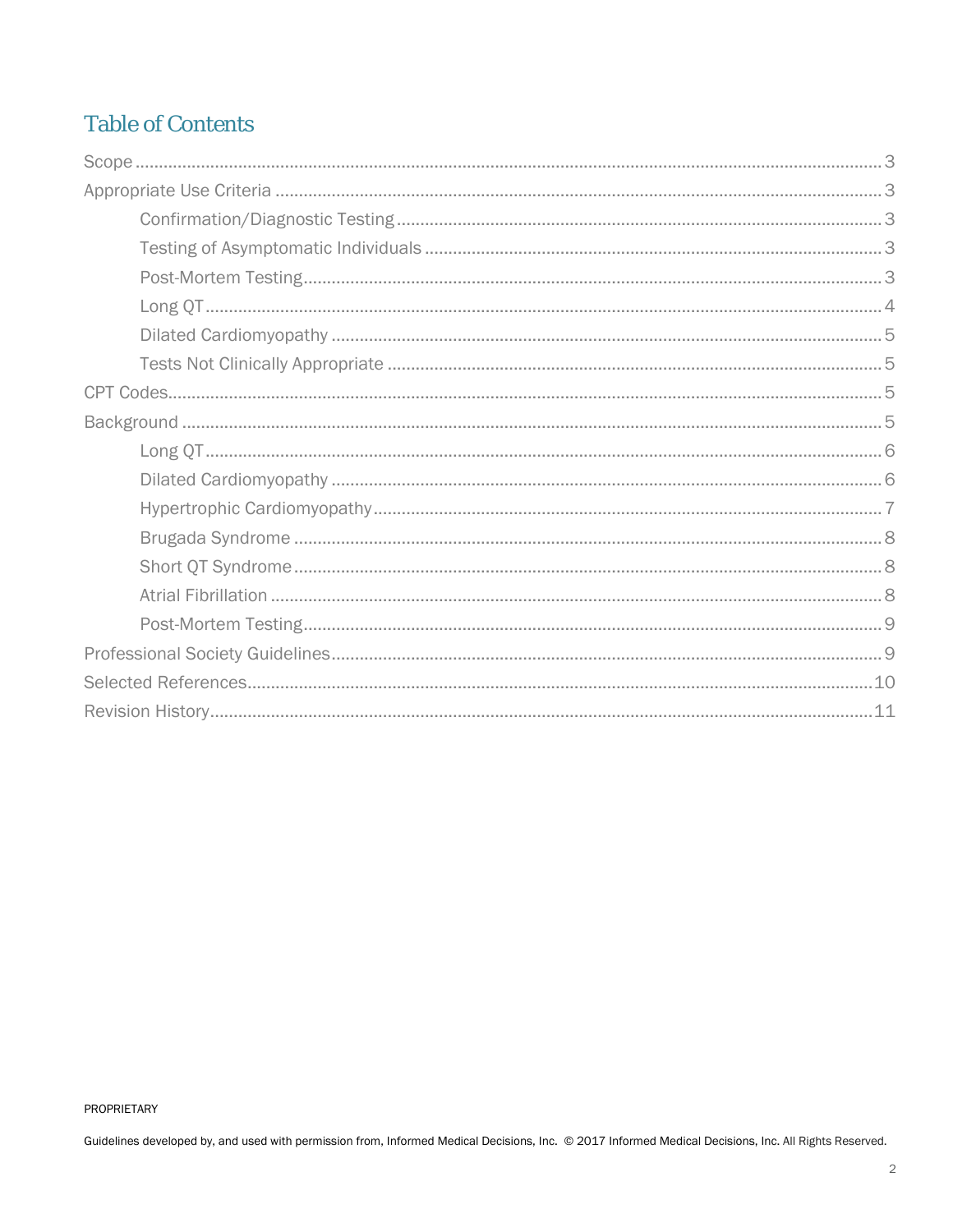# **Table of Contents**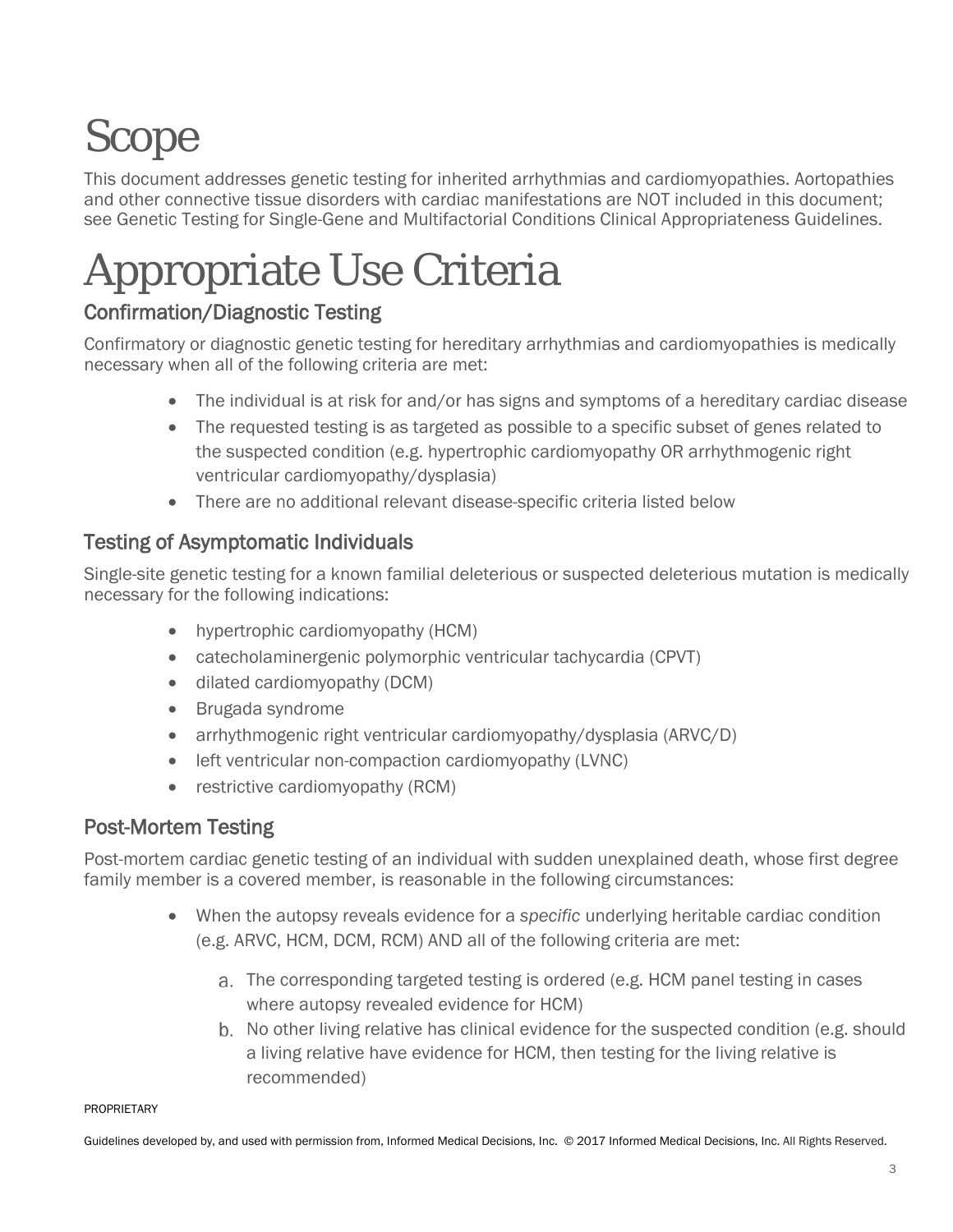# <span id="page-2-0"></span>Scope

This document addresses genetic testing for inherited arrhythmias and cardiomyopathies. Aortopathies and other connective tissue disorders with cardiac manifestations are NOT included in this document; see Genetic Testing for Single-Gene and Multifactorial Conditions Clinical Appropriateness Guidelines.

# <span id="page-2-1"></span>Appropriate Use Criteria

# <span id="page-2-2"></span>Confirmation/Diagnostic Testing

Confirmatory or diagnostic genetic testing for hereditary arrhythmias and cardiomyopathies is medically necessary when all of the following criteria are met:

- The individual is at risk for and/or has signs and symptoms of a hereditary cardiac disease
- The requested testing is as targeted as possible to a specific subset of genes related to the suspected condition (e.g. hypertrophic cardiomyopathy OR arrhythmogenic right ventricular cardiomyopathy/dysplasia)
- There are no additional relevant disease-specific criteria listed below

# <span id="page-2-3"></span>Testing of Asymptomatic Individuals

Single-site genetic testing for a known familial deleterious or suspected deleterious mutation is medically necessary for the following indications:

- hypertrophic cardiomyopathy (HCM)
- catecholaminergenic polymorphic ventricular tachycardia (CPVT)
- dilated cardiomyopathy (DCM)
- Brugada syndrome
- arrhythmogenic right ventricular cardiomyopathy/dysplasia (ARVC/D)
- left ventricular non-compaction cardiomyopathy (LVNC)
- restrictive cardiomyopathy (RCM)

# <span id="page-2-4"></span>Post-Mortem Testing

Post-mortem cardiac genetic testing of an individual with sudden unexplained death, whose first degree family member is a covered member, is reasonable in the following circumstances:

- When the autopsy reveals evidence for a *specific* underlying heritable cardiac condition (e.g. ARVC, HCM, DCM, RCM) AND all of the following criteria are met:
	- The corresponding targeted testing is ordered (e.g. HCM panel testing in cases where autopsy revealed evidence for HCM)
	- b. No other living relative has clinical evidence for the suspected condition (e.g. should a living relative have evidence for HCM, then testing for the living relative is recommended)

#### PROPRIETARY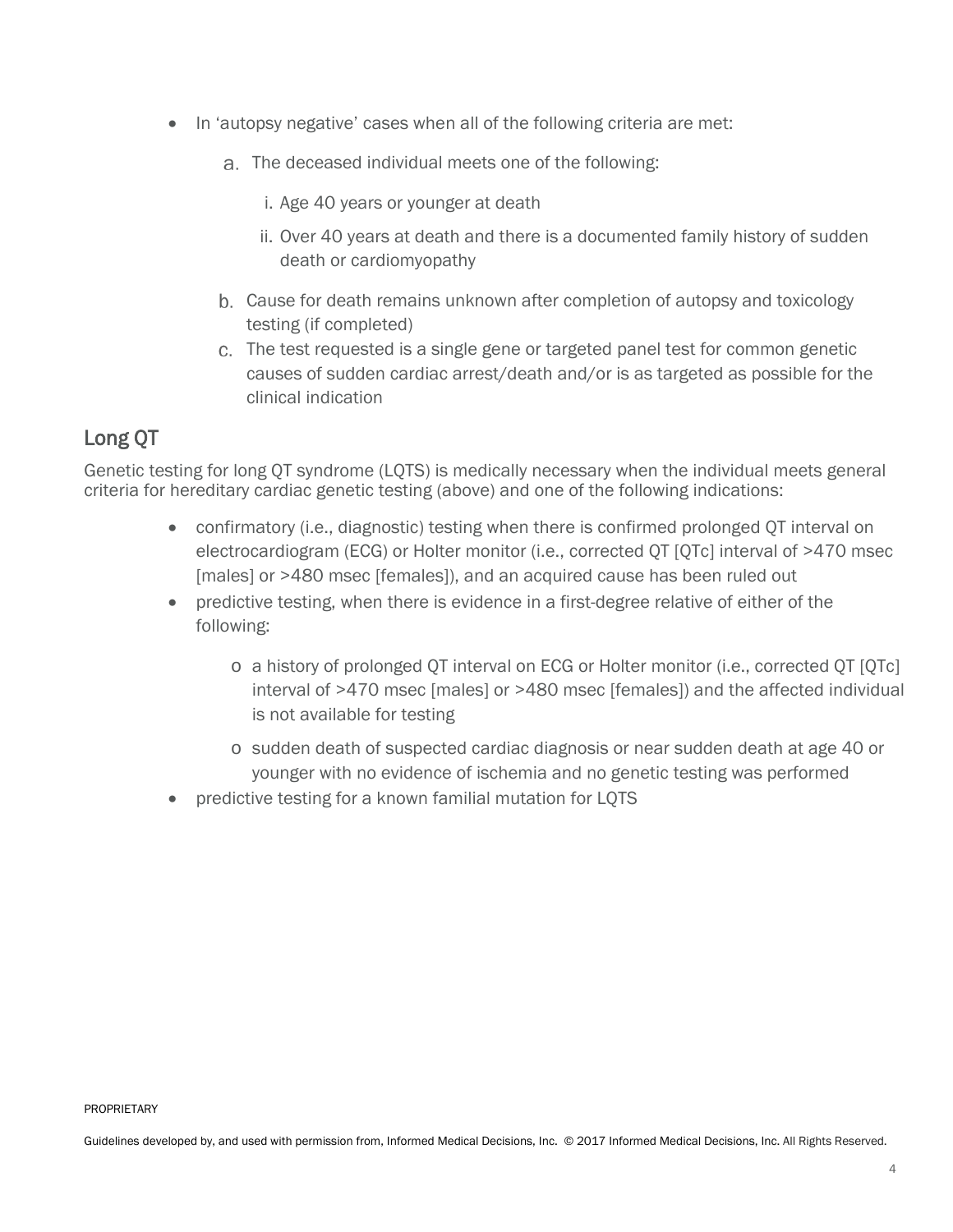- In 'autopsy negative' cases when all of the following criteria are met:
	- The deceased individual meets one of the following:
		- i. Age 40 years or younger at death
		- ii. Over 40 years at death and there is a documented family history of sudden death or cardiomyopathy
	- Cause for death remains unknown after completion of autopsy and toxicology testing (if completed)
	- The test requested is a single gene or targeted panel test for common genetic causes of sudden cardiac arrest/death and/or is as targeted as possible for the clinical indication

# <span id="page-3-0"></span>Long QT

Genetic testing for long QT syndrome (LQTS) is medically necessary when the individual meets general criteria for hereditary cardiac genetic testing (above) and one of the following indications:

- confirmatory (i.e., diagnostic) testing when there is confirmed prolonged QT interval on electrocardiogram (ECG) or Holter monitor (i.e., corrected QT [QTc] interval of >470 msec [males] or >480 msec [females]), and an acquired cause has been ruled out
- predictive testing, when there is evidence in a first-degree relative of either of the following:
	- o a history of prolonged QT interval on ECG or Holter monitor (i.e., corrected QT [QTc] interval of >470 msec [males] or >480 msec [females]) and the affected individual is not available for testing
	- o sudden death of suspected cardiac diagnosis or near sudden death at age 40 or younger with no evidence of ischemia and no genetic testing was performed
- predictive testing for a known familial mutation for LQTS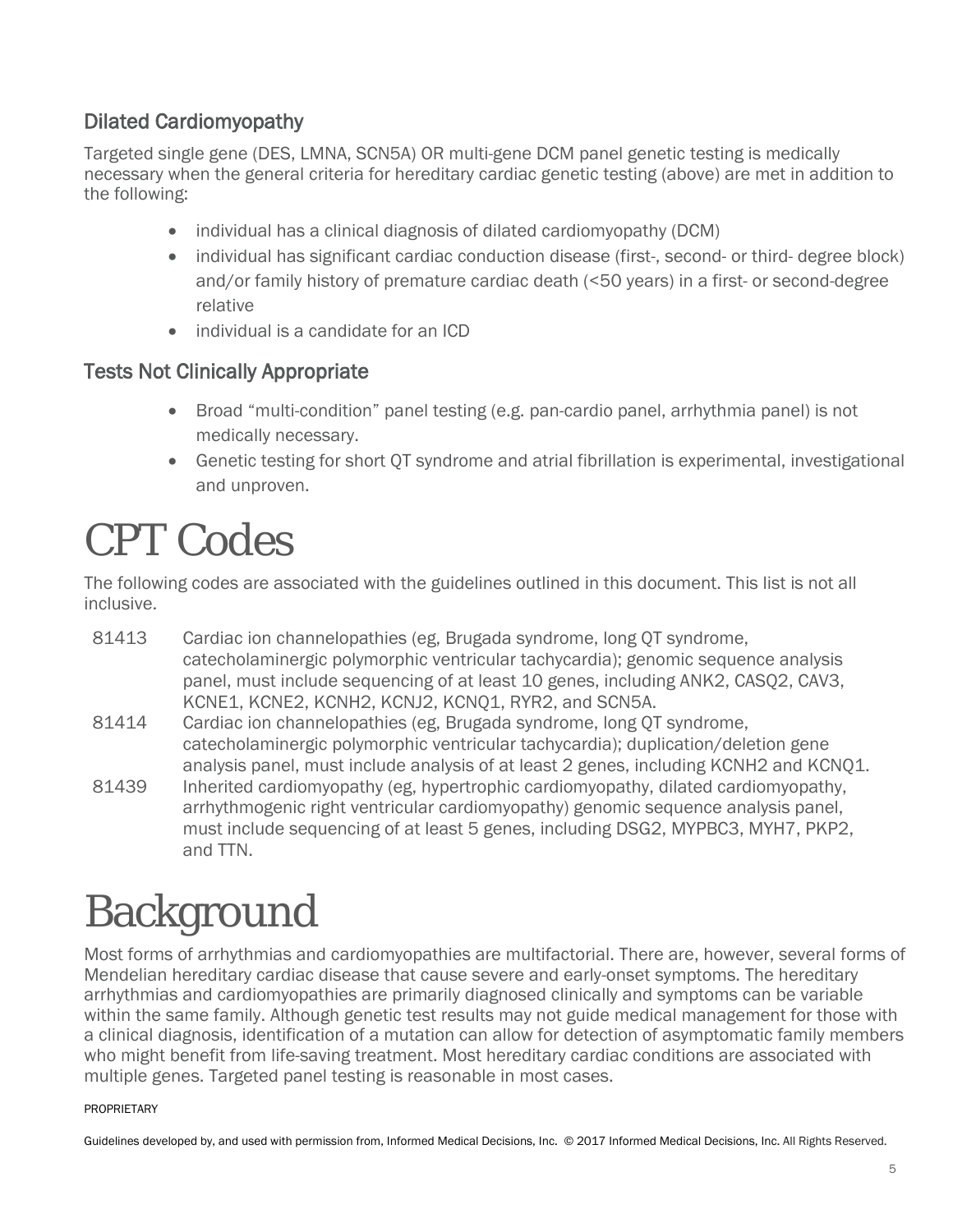### <span id="page-4-0"></span>Dilated Cardiomyopathy

Targeted single gene (DES, LMNA, SCN5A) OR multi-gene DCM panel genetic testing is medically necessary when the general criteria for hereditary cardiac genetic testing (above) are met in addition to the following:

- individual has a clinical diagnosis of dilated cardiomyopathy (DCM)
- individual has significant cardiac conduction disease (first-, second- or third- degree block) and/or family history of premature cardiac death (<50 years) in a first- or second-degree relative
- individual is a candidate for an ICD

### <span id="page-4-1"></span>Tests Not Clinically Appropriate

- Broad "multi-condition" panel testing (e.g. pan-cardio panel, arrhythmia panel) is not medically necessary.
- Genetic testing for short QT syndrome and atrial fibrillation is experimental, investigational and unproven.

# <span id="page-4-2"></span>CPT Codes

The following codes are associated with the guidelines outlined in this document. This list is not all inclusive.

- 81413 Cardiac ion channelopathies (eg, Brugada syndrome, long QT syndrome, catecholaminergic polymorphic ventricular tachycardia); genomic sequence analysis panel, must include sequencing of at least 10 genes, including ANK2, CASQ2, CAV3, KCNE1, KCNE2, KCNH2, KCNJ2, KCNQ1, RYR2, and SCN5A.
- 81414 Cardiac ion channelopathies (eg, Brugada syndrome, long QT syndrome, catecholaminergic polymorphic ventricular tachycardia); duplication/deletion gene analysis panel, must include analysis of at least 2 genes, including KCNH2 and KCNQ1.
- 81439 Inherited cardiomyopathy (eg, hypertrophic cardiomyopathy, dilated cardiomyopathy, arrhythmogenic right ventricular cardiomyopathy) genomic sequence analysis panel, must include sequencing of at least 5 genes, including DSG2, MYPBC3, MYH7, PKP2, and TTN.

# <span id="page-4-3"></span>**Background**

Most forms of arrhythmias and cardiomyopathies are multifactorial. There are, however, several forms of Mendelian hereditary cardiac disease that cause severe and early-onset symptoms. The hereditary arrhythmias and cardiomyopathies are primarily diagnosed clinically and symptoms can be variable within the same family. Although genetic test results may not guide medical management for those with a clinical diagnosis, identification of a mutation can allow for detection of asymptomatic family members who might benefit from life-saving treatment. Most hereditary cardiac conditions are associated with multiple genes. Targeted panel testing is reasonable in most cases.

#### PROPRIETARY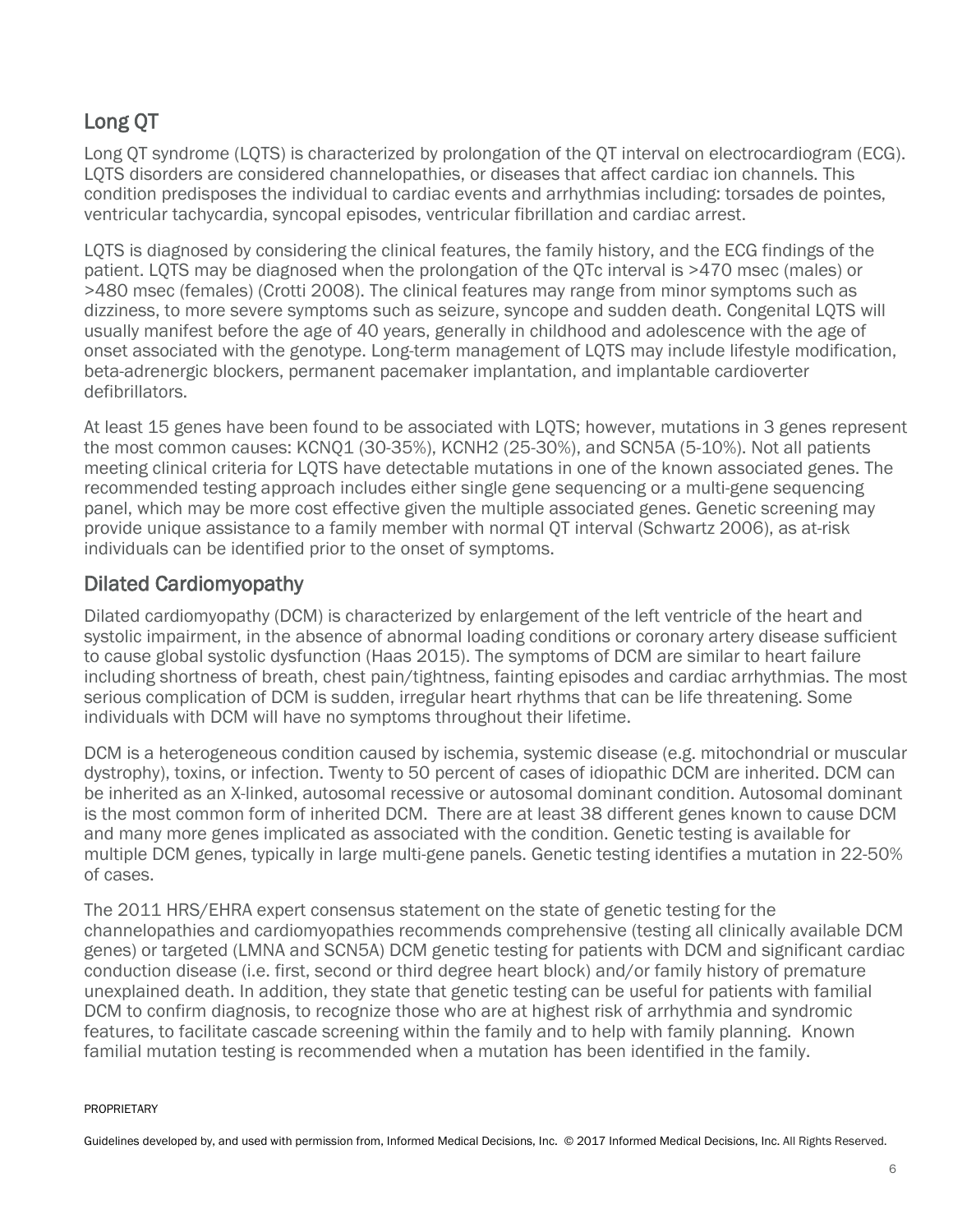# <span id="page-5-0"></span>Long QT

Long QT syndrome (LQTS) is characterized by prolongation of the QT interval on electrocardiogram (ECG). LQTS disorders are considered channelopathies, or diseases that affect cardiac ion channels. This condition predisposes the individual to cardiac events and arrhythmias including: torsades de pointes, ventricular tachycardia, syncopal episodes, ventricular fibrillation and cardiac arrest.

LQTS is diagnosed by considering the clinical features, the family history, and the ECG findings of the patient. LQTS may be diagnosed when the prolongation of the QTc interval is >470 msec (males) or >480 msec (females) (Crotti 2008). The clinical features may range from minor symptoms such as dizziness, to more severe symptoms such as seizure, syncope and sudden death. Congenital LQTS will usually manifest before the age of 40 years, generally in childhood and adolescence with the age of onset associated with the genotype. Long-term management of LQTS may include lifestyle modification, beta-adrenergic blockers, permanent pacemaker implantation, and implantable cardioverter defibrillators.

At least 15 genes have been found to be associated with LQTS; however, mutations in 3 genes represent the most common causes: KCNQ1 (30-35%), KCNH2 (25-30%), and SCN5A (5-10%). Not all patients meeting clinical criteria for LQTS have detectable mutations in one of the known associated genes. The recommended testing approach includes either single gene sequencing or a multi-gene sequencing panel, which may be more cost effective given the multiple associated genes. Genetic screening may provide unique assistance to a family member with normal QT interval (Schwartz 2006), as at-risk individuals can be identified prior to the onset of symptoms.

### <span id="page-5-1"></span>Dilated Cardiomyopathy

Dilated cardiomyopathy (DCM) is characterized by enlargement of the left ventricle of the heart and systolic impairment, in the absence of abnormal loading conditions or coronary artery disease sufficient to cause global systolic dysfunction (Haas 2015). The symptoms of DCM are similar to heart failure including shortness of breath, chest pain/tightness, fainting episodes and cardiac arrhythmias. The most serious complication of DCM is sudden, irregular heart rhythms that can be life threatening. Some individuals with DCM will have no symptoms throughout their lifetime.

DCM is a heterogeneous condition caused by ischemia, systemic disease (e.g. mitochondrial or muscular dystrophy), toxins, or infection. Twenty to 50 percent of cases of idiopathic DCM are inherited. DCM can be inherited as an X-linked, autosomal recessive or autosomal dominant condition. Autosomal dominant is the most common form of inherited DCM. There are at least 38 different genes known to cause DCM and many more genes implicated as associated with the condition. Genetic testing is available for multiple DCM genes, typically in large multi-gene panels. Genetic testing identifies a mutation in 22-50% of cases.

The 2011 HRS/EHRA expert consensus statement on the state of genetic testing for the channelopathies and cardiomyopathies recommends comprehensive (testing all clinically available DCM genes) or targeted (LMNA and SCN5A) DCM genetic testing for patients with DCM and significant cardiac conduction disease (i.e. first, second or third degree heart block) and/or family history of premature unexplained death. In addition, they state that genetic testing can be useful for patients with familial DCM to confirm diagnosis, to recognize those who are at highest risk of arrhythmia and syndromic features, to facilitate cascade screening within the family and to help with family planning. Known familial mutation testing is recommended when a mutation has been identified in the family.

#### PROPRIETARY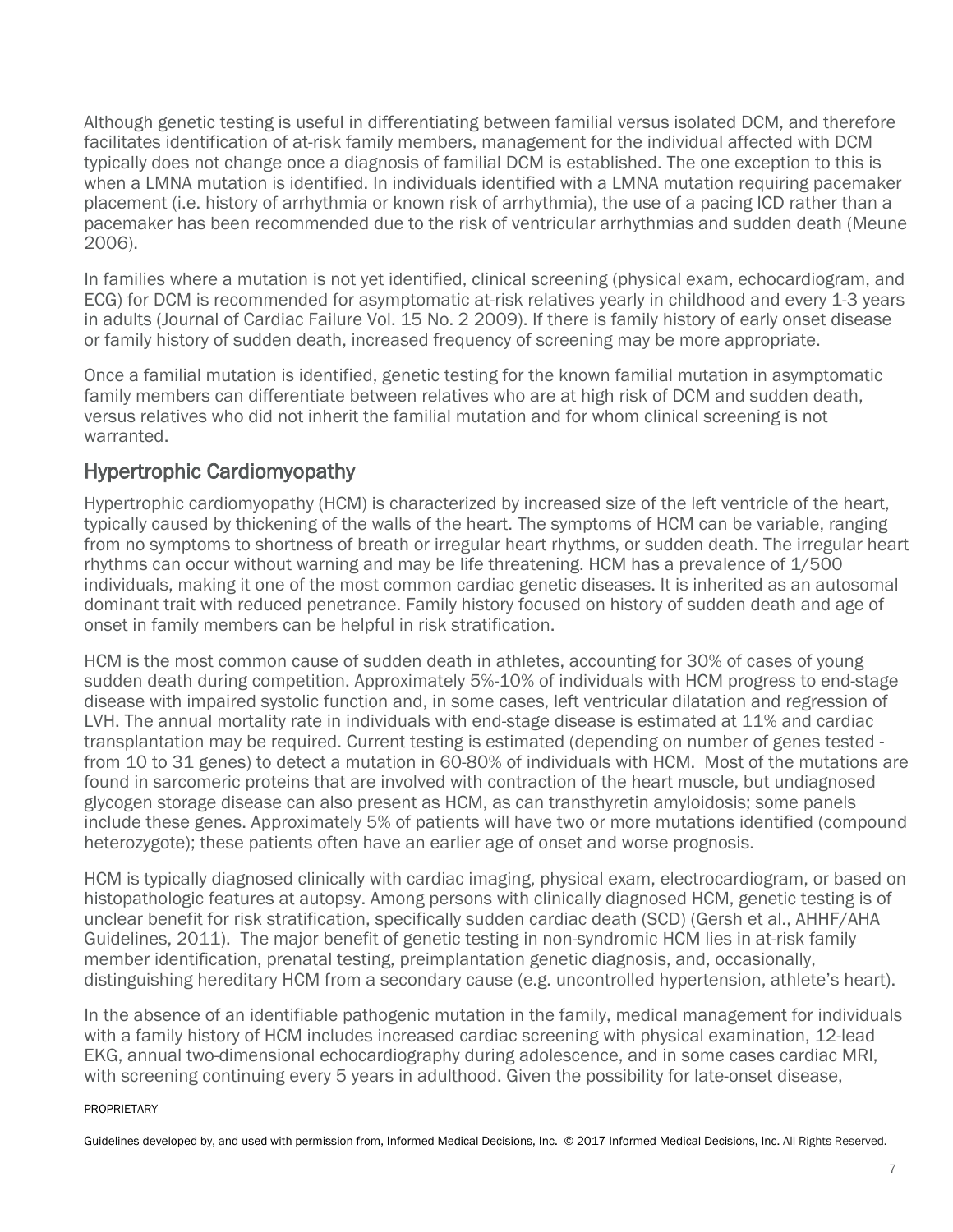Although genetic testing is useful in differentiating between familial versus isolated DCM, and therefore facilitates identification of at-risk family members, management for the individual affected with DCM typically does not change once a diagnosis of familial DCM is established. The one exception to this is when a LMNA mutation is identified. In individuals identified with a LMNA mutation requiring pacemaker placement (i.e. history of arrhythmia or known risk of arrhythmia), the use of a pacing ICD rather than a pacemaker has been recommended due to the risk of ventricular arrhythmias and sudden death (Meune 2006).

In families where a mutation is not yet identified, clinical screening (physical exam, echocardiogram, and ECG) for DCM is recommended for asymptomatic at-risk relatives yearly in childhood and every 1-3 years in adults (Journal of Cardiac Failure Vol. 15 No. 2 2009). If there is family history of early onset disease or family history of sudden death, increased frequency of screening may be more appropriate.

Once a familial mutation is identified, genetic testing for the known familial mutation in asymptomatic family members can differentiate between relatives who are at high risk of DCM and sudden death, versus relatives who did not inherit the familial mutation and for whom clinical screening is not warranted.

### <span id="page-6-0"></span>Hypertrophic Cardiomyopathy

Hypertrophic cardiomyopathy (HCM) is characterized by increased size of the left ventricle of the heart, typically caused by thickening of the walls of the heart. The symptoms of HCM can be variable, ranging from no symptoms to shortness of breath or irregular heart rhythms, or sudden death. The irregular heart rhythms can occur without warning and may be life threatening. HCM has a prevalence of 1/500 individuals, making it one of the most common cardiac genetic diseases. It is inherited as an autosomal dominant trait with reduced penetrance. Family history focused on history of sudden death and age of onset in family members can be helpful in risk stratification.

HCM is the most common cause of sudden death in athletes, accounting for 30% of cases of young sudden death during competition. Approximately 5%-10% of individuals with HCM progress to end-stage disease with impaired systolic function and, in some cases, left ventricular dilatation and regression of LVH. The annual mortality rate in individuals with end-stage disease is estimated at 11% and cardiac transplantation may be required. Current testing is estimated (depending on number of genes tested from 10 to 31 genes) to detect a mutation in 60-80% of individuals with HCM. Most of the mutations are found in sarcomeric proteins that are involved with contraction of the heart muscle, but undiagnosed glycogen storage disease can also present as HCM, as can transthyretin amyloidosis; some panels include these genes. Approximately 5% of patients will have two or more mutations identified (compound heterozygote); these patients often have an earlier age of onset and worse prognosis.

HCM is typically diagnosed clinically with cardiac imaging, physical exam, electrocardiogram, or based on histopathologic features at autopsy. Among persons with clinically diagnosed HCM, genetic testing is of unclear benefit for risk stratification, specifically sudden cardiac death (SCD) (Gersh et al., AHHF/AHA Guidelines, 2011). The major benefit of genetic testing in non-syndromic HCM lies in at-risk family member identification, prenatal testing, preimplantation genetic diagnosis, and, occasionally, distinguishing hereditary HCM from a secondary cause (e.g. uncontrolled hypertension, athlete's heart).

In the absence of an identifiable pathogenic mutation in the family, medical management for individuals with a family history of HCM includes increased cardiac screening with physical examination, 12-lead EKG, annual two-dimensional echocardiography during adolescence, and in some cases cardiac MRI, with screening continuing every 5 years in adulthood. Given the possibility for late-onset disease,

#### PROPRIETARY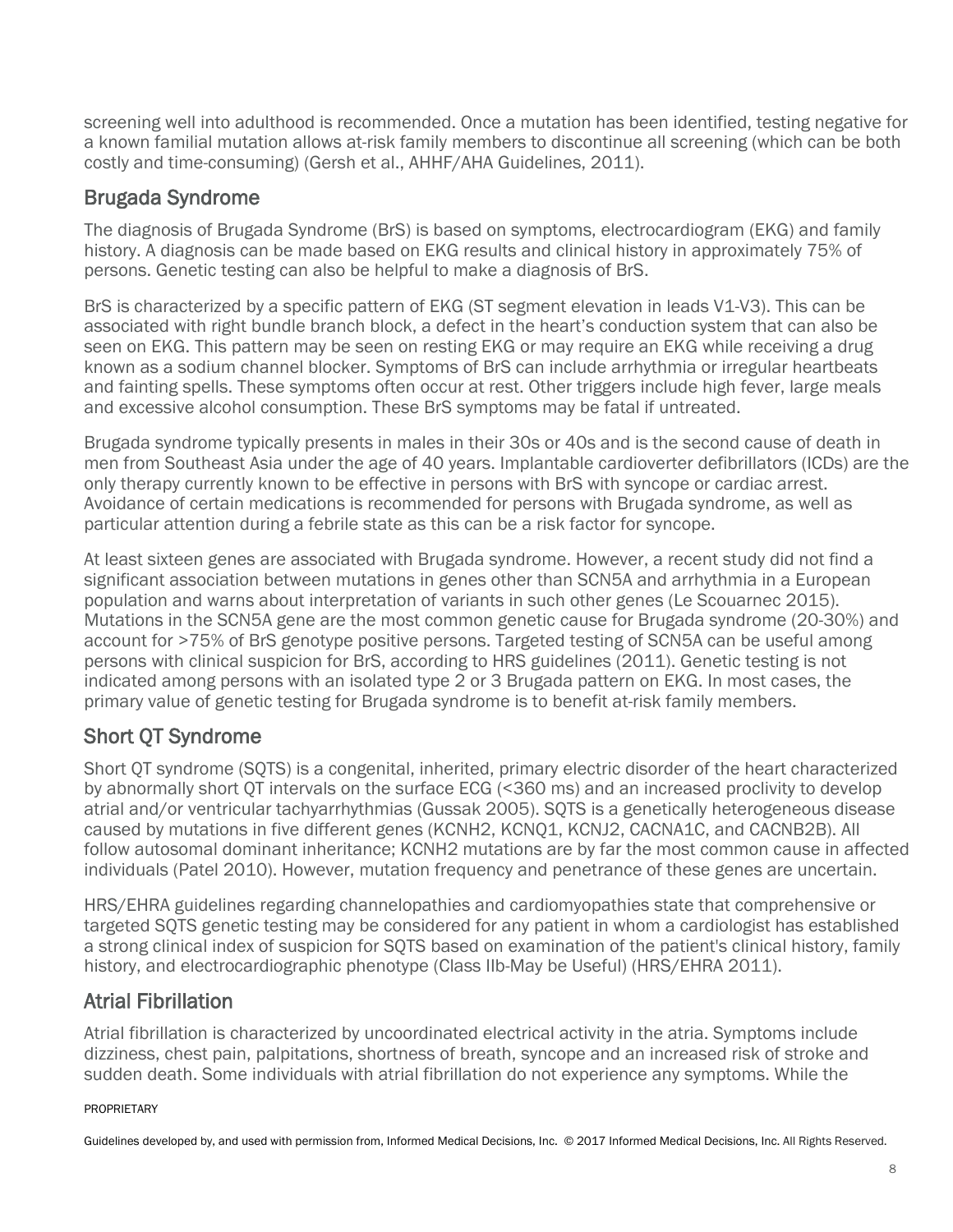screening well into adulthood is recommended. Once a mutation has been identified, testing negative for a known familial mutation allows at-risk family members to discontinue all screening (which can be both costly and time-consuming) (Gersh et al., AHHF/AHA Guidelines, 2011).

### <span id="page-7-0"></span>Brugada Syndrome

The diagnosis of Brugada Syndrome (BrS) is based on symptoms, electrocardiogram (EKG) and family history. A diagnosis can be made based on EKG results and clinical history in approximately 75% of persons. Genetic testing can also be helpful to make a diagnosis of BrS.

BrS is characterized by a specific pattern of EKG (ST segment elevation in leads V1-V3). This can be associated with right bundle branch block, a defect in the heart's conduction system that can also be seen on EKG. This pattern may be seen on resting EKG or may require an EKG while receiving a drug known as a sodium channel blocker. Symptoms of BrS can include arrhythmia or irregular heartbeats and fainting spells. These symptoms often occur at rest. Other triggers include high fever, large meals and excessive alcohol consumption. These BrS symptoms may be fatal if untreated.

Brugada syndrome typically presents in males in their 30s or 40s and is the second cause of death in men from Southeast Asia under the age of 40 years. Implantable cardioverter defibrillators (ICDs) are the only therapy currently known to be effective in persons with BrS with syncope or cardiac arrest. Avoidance of certain medications is recommended for persons with Brugada syndrome, as well as particular attention during a febrile state as this can be a risk factor for syncope.

At least sixteen genes are associated with Brugada syndrome. However, a recent study did not find a significant association between mutations in genes other than SCN5A and arrhythmia in a European population and warns about interpretation of variants in such other genes (Le Scouarnec 2015). Mutations in the SCN5A gene are the most common genetic cause for Brugada syndrome (20-30%) and account for >75% of BrS genotype positive persons. Targeted testing of SCN5A can be useful among persons with clinical suspicion for BrS, according to HRS guidelines (2011). Genetic testing is not indicated among persons with an isolated type 2 or 3 Brugada pattern on EKG. In most cases, the primary value of genetic testing for Brugada syndrome is to benefit at-risk family members.

# <span id="page-7-1"></span>Short QT Syndrome

Short QT syndrome (SQTS) is a congenital, inherited, primary electric disorder of the heart characterized by abnormally short QT intervals on the surface ECG (<360 ms) and an increased proclivity to develop atrial and/or ventricular tachyarrhythmias (Gussak 2005). SQTS is a genetically heterogeneous disease caused by mutations in five different genes (KCNH2, KCNQ1, KCNJ2, CACNA1C, and CACNB2B). All follow autosomal dominant inheritance; KCNH2 mutations are by far the most common cause in affected individuals (Patel 2010). However, mutation frequency and penetrance of these genes are uncertain.

HRS/EHRA guidelines regarding channelopathies and cardiomyopathies state that comprehensive or targeted SQTS genetic testing may be considered for any patient in whom a cardiologist has established a strong clinical index of suspicion for SQTS based on examination of the patient's clinical history, family history, and electrocardiographic phenotype (Class IIb-May be Useful) (HRS/EHRA 2011).

### <span id="page-7-2"></span>Atrial Fibrillation

Atrial fibrillation is characterized by uncoordinated electrical activity in the atria. Symptoms include dizziness, chest pain, palpitations, shortness of breath, syncope and an increased risk of stroke and sudden death. Some individuals with atrial fibrillation do not experience any symptoms. While the

#### PROPRIETARY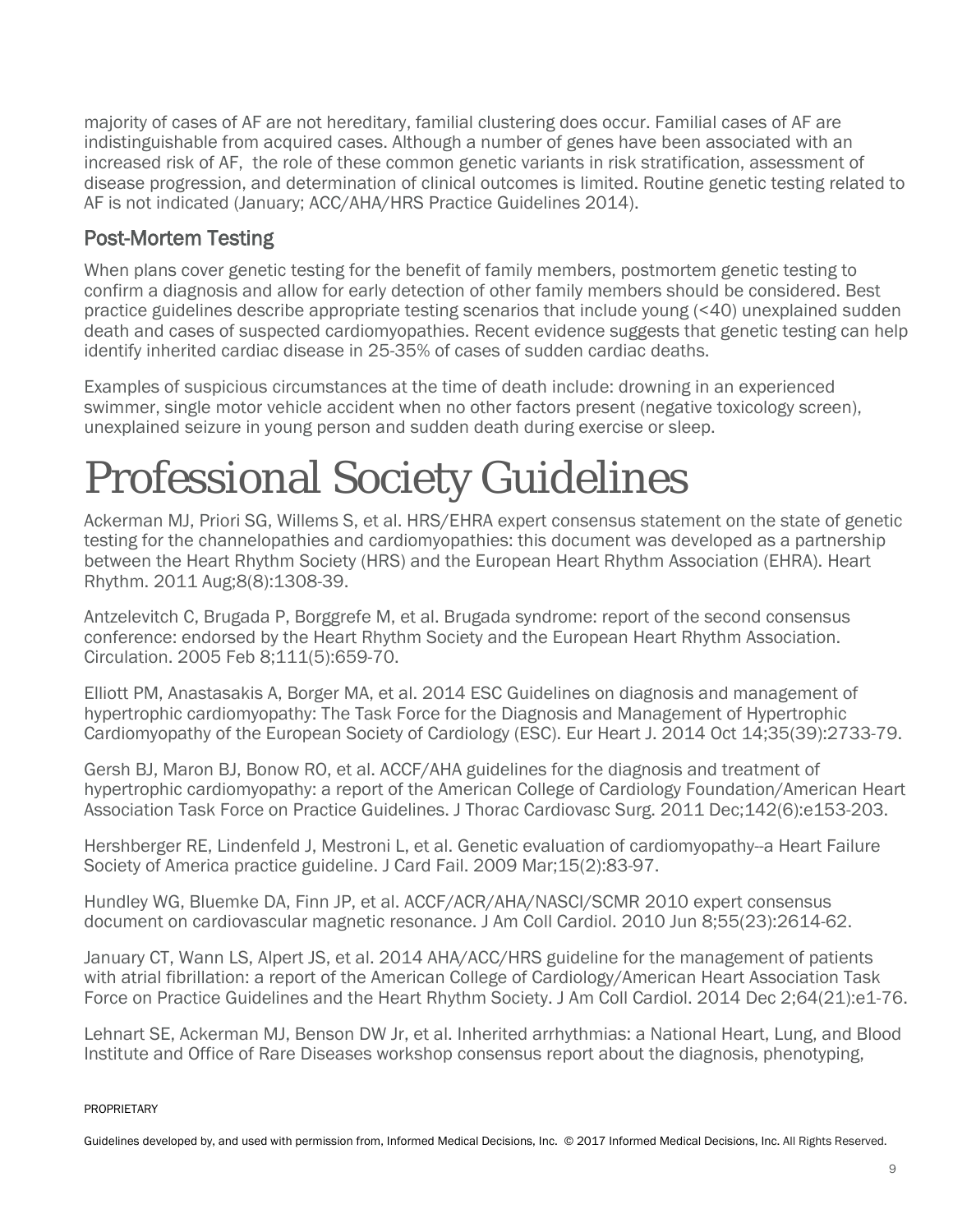majority of cases of AF are not hereditary, familial clustering does occur. Familial cases of AF are indistinguishable from acquired cases. Although a number of genes have been associated with an increased risk of AF, the role of these common genetic variants in risk stratification, assessment of disease progression, and determination of clinical outcomes is limited. Routine genetic testing related to AF is not indicated (January; ACC/AHA/HRS Practice Guidelines 2014).

### <span id="page-8-0"></span>Post-Mortem Testing

When plans cover genetic testing for the benefit of family members, postmortem genetic testing to confirm a diagnosis and allow for early detection of other family members should be considered. Best practice guidelines describe appropriate testing scenarios that include young (<40) unexplained sudden death and cases of suspected cardiomyopathies. Recent evidence suggests that genetic testing can help identify inherited cardiac disease in 25-35% of cases of sudden cardiac deaths.

Examples of suspicious circumstances at the time of death include: drowning in an experienced swimmer, single motor vehicle accident when no other factors present (negative toxicology screen), unexplained seizure in young person and sudden death during exercise or sleep.

# <span id="page-8-1"></span>Professional Society Guidelines

Ackerman MJ, Priori SG, Willems S, et al. HRS/EHRA expert consensus statement on the state of genetic testing for the channelopathies and cardiomyopathies: this document was developed as a partnership between the Heart Rhythm Society (HRS) and the European Heart Rhythm Association (EHRA). Heart Rhythm. 2011 Aug;8(8):1308-39.

Antzelevitch C, Brugada P, Borggrefe M, et al. Brugada syndrome: report of the second consensus conference: endorsed by the Heart Rhythm Society and the European Heart Rhythm Association. Circulation. 2005 Feb 8;111(5):659-70.

Elliott PM, Anastasakis A, Borger MA, et al. 2014 ESC Guidelines on diagnosis and management of hypertrophic cardiomyopathy: The Task Force for the Diagnosis and Management of Hypertrophic Cardiomyopathy of the European Society of Cardiology (ESC). Eur Heart J. 2014 Oct 14;35(39):2733-79.

Gersh BJ, Maron BJ, Bonow RO, et al. ACCF/AHA guidelines for the diagnosis and treatment of hypertrophic cardiomyopathy: a report of the American College of Cardiology Foundation/American Heart Association Task Force on Practice Guidelines. J Thorac Cardiovasc Surg. 2011 Dec;142(6):e153-203.

Hershberger RE, Lindenfeld J, Mestroni L, et al. Genetic evaluation of cardiomyopathy--a Heart Failure Society of America practice guideline. J Card Fail. 2009 Mar;15(2):83-97.

Hundley WG, Bluemke DA, Finn JP, et al. ACCF/ACR/AHA/NASCI/SCMR 2010 expert consensus document on cardiovascular magnetic resonance. J Am Coll Cardiol. 2010 Jun 8;55(23):2614-62.

January CT, Wann LS, Alpert JS, et al. 2014 AHA/ACC/HRS guideline for the management of patients with atrial fibrillation: a report of the American College of Cardiology/American Heart Association Task Force on Practice Guidelines and the Heart Rhythm Society. J Am Coll Cardiol. 2014 Dec 2;64(21):e1-76.

Lehnart SE, Ackerman MJ, Benson DW Jr, et al. Inherited arrhythmias: a National Heart, Lung, and Blood Institute and Office of Rare Diseases workshop consensus report about the diagnosis, phenotyping,

PROPRIETARY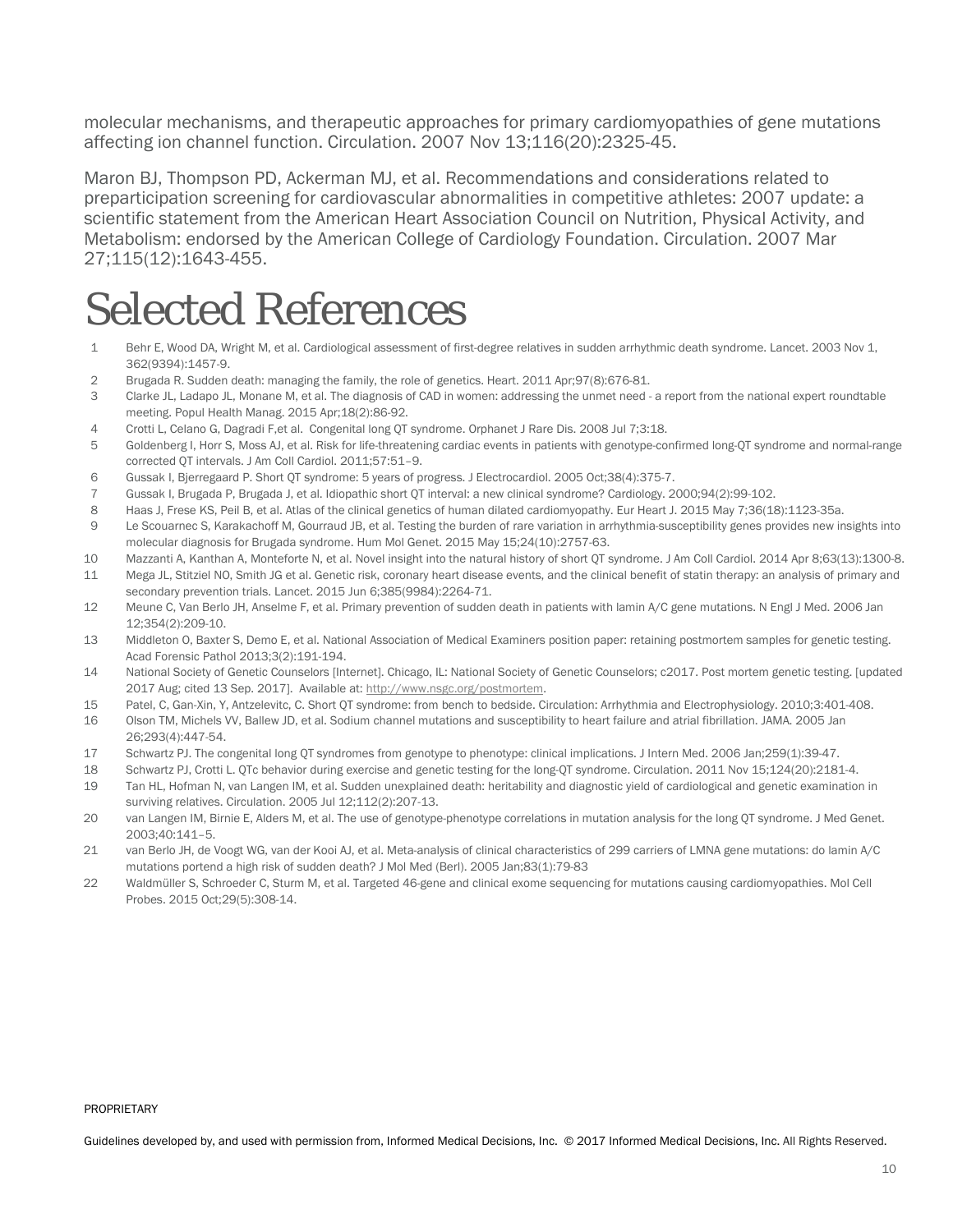molecular mechanisms, and therapeutic approaches for primary cardiomyopathies of gene mutations affecting ion channel function. Circulation. 2007 Nov 13;116(20):2325-45.

Maron BJ, Thompson PD, Ackerman MJ, et al. Recommendations and considerations related to preparticipation screening for cardiovascular abnormalities in competitive athletes: 2007 update: a scientific statement from the American Heart Association Council on Nutrition, Physical Activity, and Metabolism: endorsed by the American College of Cardiology Foundation. Circulation. 2007 Mar 27;115(12):1643-455.

# <span id="page-9-0"></span>Selected References

- 1 Behr E, Wood DA, Wright M, et al. Cardiological assessment of first-degree relatives in sudden arrhythmic death syndrome. Lancet. 2003 Nov 1, 362(9394):1457-9.
- 2 Brugada R. Sudden death: managing the family, the role of genetics. Heart. 2011 Apr;97(8):676-81.
- 3 Clarke JL, Ladapo JL, Monane M, et al. The diagnosis of CAD in women: addressing the unmet need a report from the national expert roundtable meeting. Popul Health Manag. 2015 Apr;18(2):86-92.
- 4 Crotti L, Celano G, Dagradi F,et al. Congenital long QT syndrome. Orphanet J Rare Dis. 2008 Jul 7;3:18.
- 5 Goldenberg I, Horr S, Moss AJ, et al. Risk for life-threatening cardiac events in patients with genotype-confirmed long-QT syndrome and normal-range corrected QT intervals. J Am Coll Cardiol. 2011;57:51–9.
- 6 Gussak I, Bjerregaard P. Short QT syndrome: 5 years of progress. J Electrocardiol. 2005 Oct;38(4):375-7.
- 7 Gussak I, Brugada P, Brugada J, et al. Idiopathic short QT interval: a new clinical syndrome? Cardiology. 2000;94(2):99-102.
- 8 Haas J, Frese KS, Peil B, et al. Atlas of the clinical genetics of human dilated cardiomyopathy. Eur Heart J. 2015 May 7;36(18):1123-35a.
- 9 Le Scouarnec S, Karakachoff M, Gourraud JB, et al. Testing the burden of rare variation in arrhythmia-susceptibility genes provides new insights into molecular diagnosis for Brugada syndrome. Hum Mol Genet. 2015 May 15;24(10):2757-63.
- 10 Mazzanti A, Kanthan A, Monteforte N, et al. Novel insight into the natural history of short QT syndrome. J Am Coll Cardiol. 2014 Apr 8;63(13):1300-8. 11 Mega JL, Stitziel NO, Smith JG et al. Genetic risk, coronary heart disease events, and the clinical benefit of statin therapy: an analysis of primary and
- secondary prevention trials. Lancet. 2015 Jun 6;385(9984):2264-71.
- 12 Meune C, Van Berlo JH, Anselme F, et al. Primary prevention of sudden death in patients with lamin A/C gene mutations. N Engl J Med. 2006 Jan 12;354(2):209-10.
- 13 Middleton O, Baxter S, Demo E, et al. National Association of Medical Examiners position paper: retaining postmortem samples for genetic testing. Acad Forensic Pathol 2013;3(2):191-194.
- 14 National Society of Genetic Counselors [Internet]. Chicago, IL: National Society of Genetic Counselors; c2017. Post mortem genetic testing. [updated 2017 Aug; cited 13 Sep. 2017]. Available at[: http://www.nsgc.org/postmortem.](http://www.nsgc.org/postmortem)
- 15 Patel, C, Gan-Xin, Y, Antzelevitc, C. Short QT syndrome: from bench to bedside. Circulation: Arrhythmia and Electrophysiology. 2010;3:401-408.
- 16 Olson TM, Michels VV, Ballew JD, et al. Sodium channel mutations and susceptibility to heart failure and atrial fibrillation. JAMA. 2005 Jan 26;293(4):447-54.
- 17 Schwartz PJ. The congenital long QT syndromes from genotype to phenotype: clinical implications. J Intern Med. 2006 Jan;259(1):39-47.
- 18 Schwartz PJ, Crotti L. QTc behavior during exercise and genetic testing for the long-QT syndrome. Circulation. 2011 Nov 15;124(20):2181-4.
- 19 Tan HL, Hofman N, van Langen IM, et al. Sudden unexplained death: heritability and diagnostic yield of cardiological and genetic examination in surviving relatives. Circulation. 2005 Jul 12;112(2):207-13.
- 20 van Langen IM, Birnie E, Alders M, et al. The use of genotype-phenotype correlations in mutation analysis for the long QT syndrome. J Med Genet. 2003;40:141–5.
- 21 van Berlo JH, de Voogt WG, van der Kooi AJ, et al. Meta-analysis of clinical characteristics of 299 carriers of LMNA gene mutations: do lamin A/C mutations portend a high risk of sudden death? J Mol Med (Berl). 2005 Jan;83(1):79-83
- 22 Waldmüller S, Schroeder C, Sturm M, et al. Targeted 46-gene and clinical exome sequencing for mutations causing cardiomyopathies. Mol Cell Probes. 2015 Oct;29(5):308-14.

#### PROPRIETARY